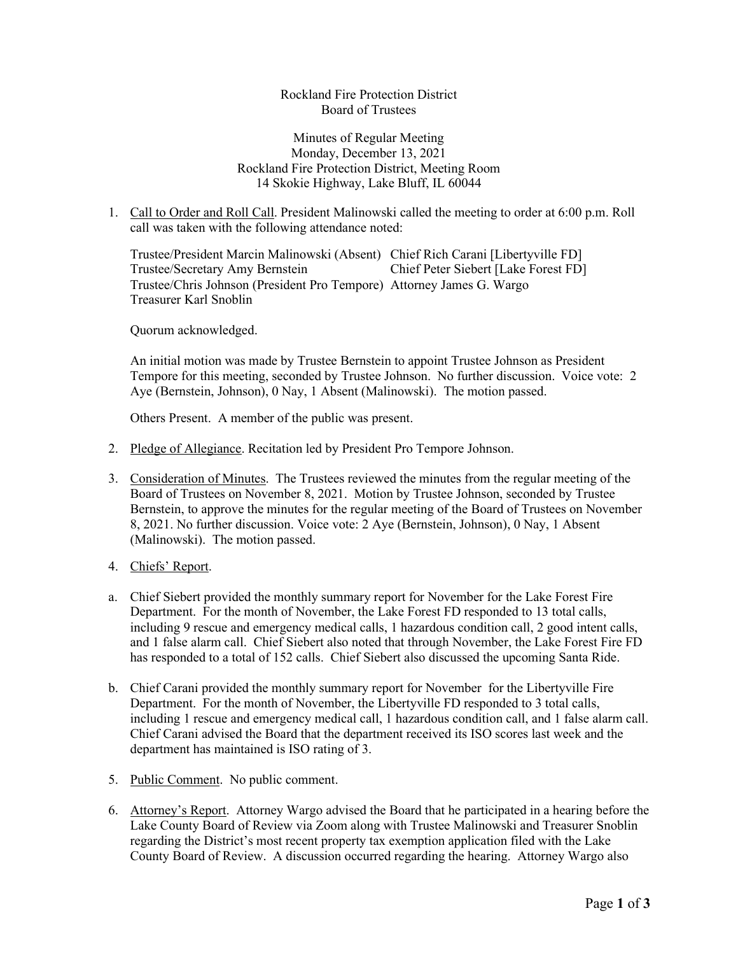## Rockland Fire Protection District Board of Trustees

## Minutes of Regular Meeting Monday, December 13, 2021 Rockland Fire Protection District, Meeting Room 14 Skokie Highway, Lake Bluff, IL 60044

1. Call to Order and Roll Call. President Malinowski called the meeting to order at 6:00 p.m. Roll call was taken with the following attendance noted:

Trustee/President Marcin Malinowski (Absent) Chief Rich Carani [Libertyville FD] Trustee/Secretary Amy Bernstein Chief Peter Siebert [Lake Forest FD] Trustee/Chris Johnson (President Pro Tempore) Attorney James G. Wargo Treasurer Karl Snoblin

Quorum acknowledged.

An initial motion was made by Trustee Bernstein to appoint Trustee Johnson as President Tempore for this meeting, seconded by Trustee Johnson. No further discussion. Voice vote: 2 Aye (Bernstein, Johnson), 0 Nay, 1 Absent (Malinowski). The motion passed.

Others Present. A member of the public was present.

- 2. Pledge of Allegiance. Recitation led by President Pro Tempore Johnson.
- 3. Consideration of Minutes. The Trustees reviewed the minutes from the regular meeting of the Board of Trustees on November 8, 2021. Motion by Trustee Johnson, seconded by Trustee Bernstein, to approve the minutes for the regular meeting of the Board of Trustees on November 8, 2021. No further discussion. Voice vote: 2 Aye (Bernstein, Johnson), 0 Nay, 1 Absent (Malinowski). The motion passed.
- 4. Chiefs' Report.
- a. Chief Siebert provided the monthly summary report for November for the Lake Forest Fire Department. For the month of November, the Lake Forest FD responded to 13 total calls, including 9 rescue and emergency medical calls, 1 hazardous condition call, 2 good intent calls, and 1 false alarm call. Chief Siebert also noted that through November, the Lake Forest Fire FD has responded to a total of 152 calls. Chief Siebert also discussed the upcoming Santa Ride.
- b. Chief Carani provided the monthly summary report for November for the Libertyville Fire Department. For the month of November, the Libertyville FD responded to 3 total calls, including 1 rescue and emergency medical call, 1 hazardous condition call, and 1 false alarm call. Chief Carani advised the Board that the department received its ISO scores last week and the department has maintained is ISO rating of 3.
- 5. Public Comment. No public comment.
- 6. Attorney's Report. Attorney Wargo advised the Board that he participated in a hearing before the Lake County Board of Review via Zoom along with Trustee Malinowski and Treasurer Snoblin regarding the District's most recent property tax exemption application filed with the Lake County Board of Review. A discussion occurred regarding the hearing. Attorney Wargo also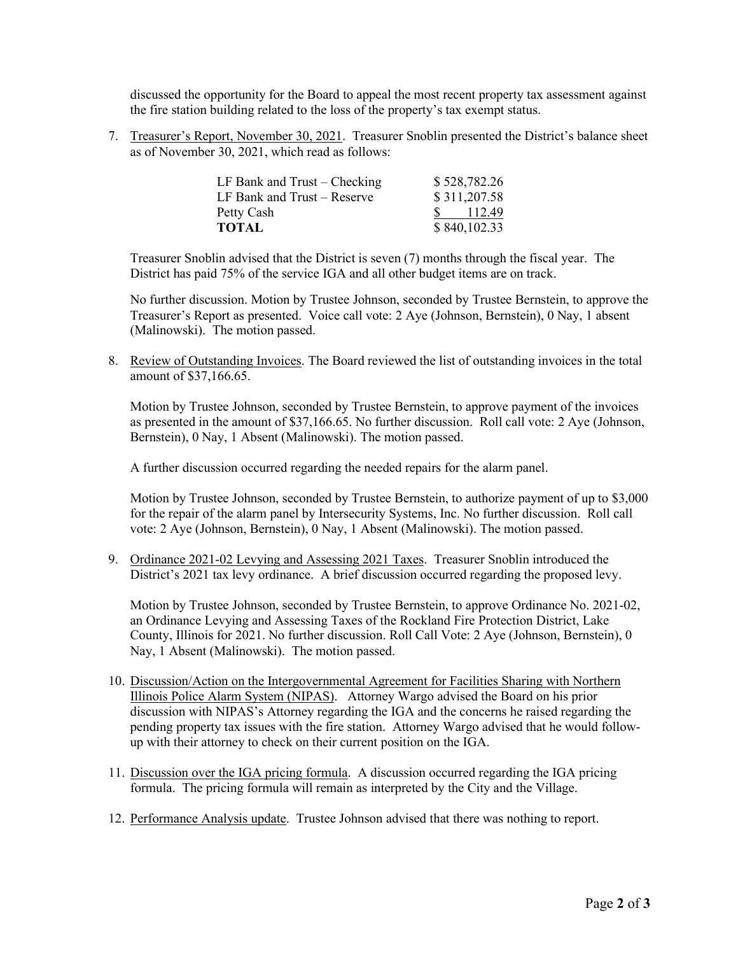discussed the opportunity for the Board to appeal the most recent property tax assessment against the fire station building related to the loss of the property's tax exempt status.

7. Treasurer's Report, November 30, 2021. Treasurer Snoblin presented the District's balance sheet as of November 30, 2021, which read as follows:

| LF Bank and Trust – Checking | \$528,782.26 |
|------------------------------|--------------|
| LF Bank and Trust – Reserve  | \$311,207.58 |
| Petty Cash                   | 112.49       |
| TOTAL                        | \$840,102.33 |

Treasurer Snoblin advised that the District is seven (7) months through the fiscal year. The District has paid 75% of the service IGA and all other budget items are on track.

No further discussion. Motion by Trustee Johnson, seconded by Trustee Bernstein, to approve the Treasurer's Report as presented. Voice call vote: 2 Aye (Johnson, Bernstein), 0 Nay, 1 absent (Malinowski). The motion passed.

8. Review of Outstanding Invoices. The Board reviewed the list of outstanding invoices in the total amount of \$37,166.65.

Motion by Trustee Johnson, seconded by Trustee Bernstein, to approve payment of the invoices as presented in the amount of \$37,166.65. No further discussion. Roll call vote: 2 Aye (Johnson, Bernstein), 0 Nay, 1 Absent (Malinowski). The motion passed.

A further discussion occurred regarding the needed repairs for the alarm panel.

Motion by Trustee Johnson, seconded by Trustee Bernstein, to authorize payment of up to \$3,000 for the repair of the alarm panel by Intersecurity Systems, Inc. No further discussion. Roll call vote: 2 Aye (Johnson, Bernstein), 0 Nay, 1 Absent (Malinowski). The motion passed.

9. Ordinance 2021-02 Levying and Assessing 2021 Taxes. Treasurer Snoblin introduced the District's 2021 tax levy ordinance. A brief discussion occurred regarding the proposed levy.

Motion by Trustee Johnson, seconded by Trustee Bernstein, to approve Ordinance No. 2021-02, an Ordinance Levying and Assessing Taxes of the Rockland Fire Protection District, Lake County, Illinois for 2021. No further discussion. Roll Call Vote: 2 Aye (Johnson, Bernstein), 0 Nay, 1 Absent (Malinowski). The motion passed.

- 10. Discussion/Action on the Intergovernmental Agreement for Facilities Sharing with Northern Illinois Police Alarm System (NIPAS). Attorney Wargo advised the Board on his prior discussion with NIPAS's Attorney regarding the IGA and the concerns he raised regarding the pending property tax issues with the fire station. Attorney Wargo advised that he would followup with their attorney to check on their current position on the IGA.
- 11. Discussion over the IGA pricing formula. A discussion occurred regarding the IGA pricing formula. The pricing formula will remain as interpreted by the City and the Village.
- 12. Performance Analysis update. Trustee Johnson advised that there was nothing to report.